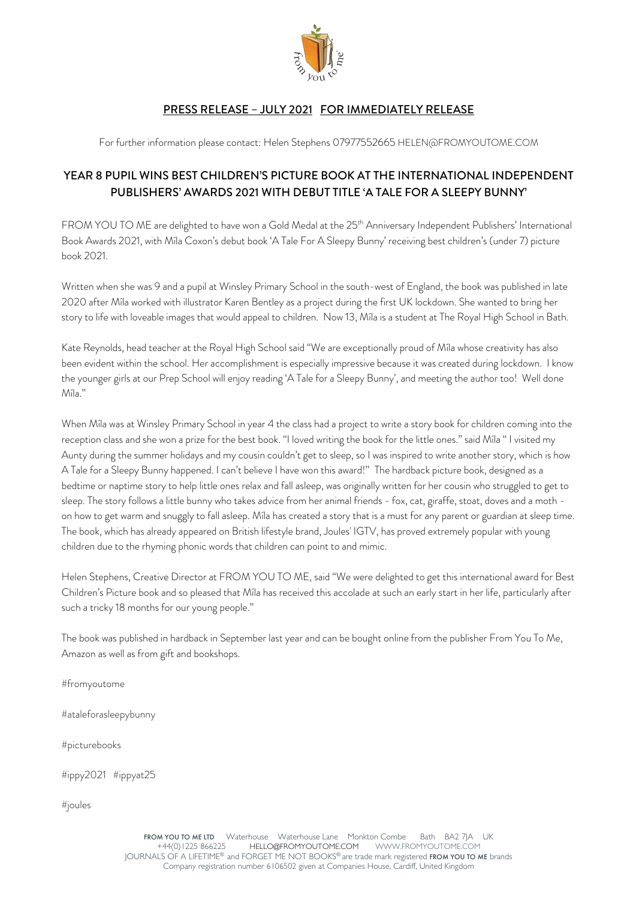

## PRESS RELEASE – JULY 2021 FOR IMMEDIATELY RELEASE

For further information please contact: Helen Stephens 07977552665 HELEN@FROMYOUTOME.COM

## YEAR 8 PUPIL WINS BEST CHILDREN'S PICTURE BOOK AT THE INTERNATIONAL INDEPENDENT PUBLISHERS' AWARDS 2021 WITH DEBUT TITLE 'A TALE FOR A SLEEPY BUNNY'

FROM YOU TO ME are delighted to have won a Gold Medal at the 25<sup>th</sup> Anniversary Independent Publishers' International Book Awards 2021, with Míla Coxon's debut book 'A Tale For A Sleepy Bunny' receiving best children's (under 7) picture book 2021.

Written when she was 9 and a pupil at Winsley Primary School in the south-west of England, the book was published in late 2020 after Míla worked with illustrator Karen Bentley as a project during the first UK lockdown. She wanted to bring her story to life with loveable images that would appeal to children. Now 13, Míla is a student at The Royal High School in Bath.

Kate Reynolds, head teacher at the Royal High School said "We are exceptionally proud of Míla whose creativity has also been evident within the school. Her accomplishment is especially impressive because it was created during lockdown. I know the younger girls at our Prep School will enjoy reading 'A Tale for a Sleepy Bunny', and meeting the author too! Well done Míla."

When Míla was at Winsley Primary School in year 4 the class had a project to write a story book for children coming into the reception class and she won a prize for the best book. "I loved writing the book for the little ones." said Míla " I visited my Aunty during the summer holidays and my cousin couldn't get to sleep, so I was inspired to write another story, which is how A Tale for a Sleepy Bunny happened. I can't believe I have won this award!" The hardback picture book, designed as a bedtime or naptime story to help little ones relax and fall asleep, was originally written for her cousin who struggled to get to sleep. The story follows a little bunny who takes advice from her animal friends - fox, cat, giraffe, stoat, doves and a moth on how to get warm and snuggly to fall asleep. Míla has created a story that is a must for any parent or guardian at sleep time. The book, which has already appeared on British lifestyle brand, Joules' IGTV, has proved extremely popular with young children due to the rhyming phonic words that children can point to and mimic.

Helen Stephens, Creative Director at FROM YOU TO ME, said "We were delighted to get this international award for Best Children's Picture book and so pleased that Míla has received this accolade at such an early start in her life, particularly after such a tricky 18 months for our young people."

The book was published in hardback in September last year and can be bought online from the publisher From You To Me, Amazon as well as from gift and bookshops.

#fromyoutome

#ataleforasleepybunny

#picturebooks

#ippy2021 #ippyat25

#joules